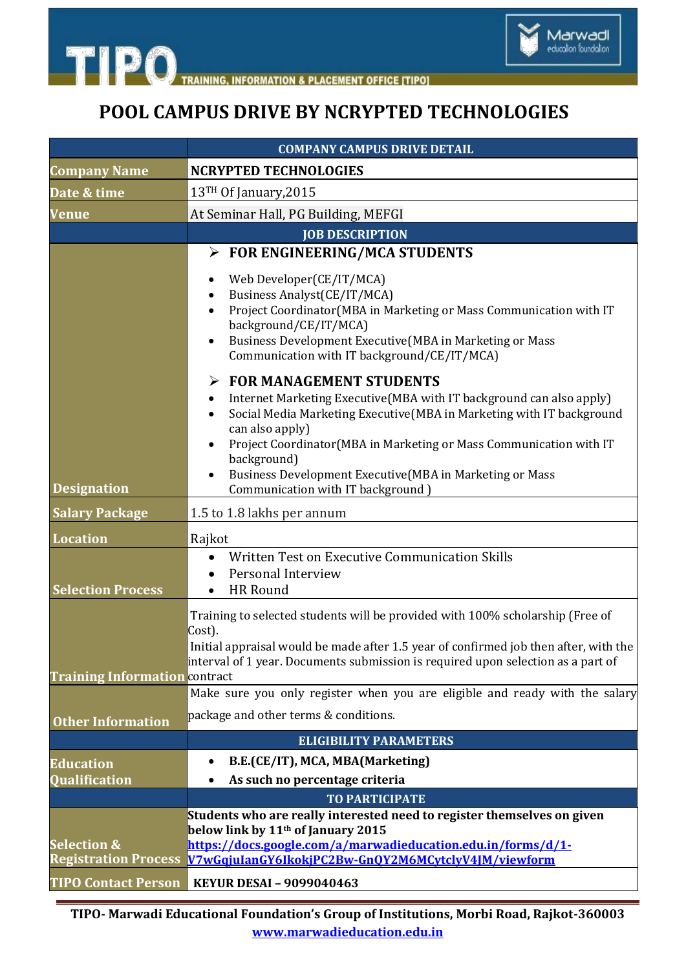

**INFORMATION & PLACEMENT OFFICE [TIPO]** 

**TIPO** 

## **POOL CAMPUS DRIVE BY NCRYPTED TECHNOLOGIES**

|                                                       | <b>COMPANY CAMPUS DRIVE DETAIL</b>                                                                                                                                                                                                                                                                                                                                                        |
|-------------------------------------------------------|-------------------------------------------------------------------------------------------------------------------------------------------------------------------------------------------------------------------------------------------------------------------------------------------------------------------------------------------------------------------------------------------|
| <b>Company Name</b>                                   | <b>NCRYPTED TECHNOLOGIES</b>                                                                                                                                                                                                                                                                                                                                                              |
| Date & time                                           | 13 <sup>TH</sup> Of January, 2015                                                                                                                                                                                                                                                                                                                                                         |
| Venue                                                 | At Seminar Hall, PG Building, MEFGI                                                                                                                                                                                                                                                                                                                                                       |
|                                                       | <b>JOB DESCRIPTION</b>                                                                                                                                                                                                                                                                                                                                                                    |
|                                                       | $\triangleright$ FOR ENGINEERING/MCA STUDENTS                                                                                                                                                                                                                                                                                                                                             |
|                                                       | Web Developer(CE/IT/MCA)<br>Business Analyst(CE/IT/MCA)<br>Project Coordinator(MBA in Marketing or Mass Communication with IT<br>background/CE/IT/MCA)<br>Business Development Executive (MBA in Marketing or Mass<br>Communication with IT background/CE/IT/MCA)                                                                                                                         |
| <b>Designation</b>                                    | <b>FOR MANAGEMENT STUDENTS</b><br>Internet Marketing Executive (MBA with IT background can also apply)<br>Social Media Marketing Executive (MBA in Marketing with IT background<br>can also apply)<br>Project Coordinator (MBA in Marketing or Mass Communication with IT<br>background)<br>Business Development Executive(MBA in Marketing or Mass<br>Communication with IT background ) |
| <b>Salary Package</b>                                 | 1.5 to 1.8 lakhs per annum                                                                                                                                                                                                                                                                                                                                                                |
| <b>Location</b>                                       | Rajkot                                                                                                                                                                                                                                                                                                                                                                                    |
| <b>Selection Process</b>                              | Written Test on Executive Communication Skills<br>Personal Interview<br>HR Round                                                                                                                                                                                                                                                                                                          |
| <b>Training Information contract</b>                  | Training to selected students will be provided with 100% scholarship (Free of<br>Cost).<br>Initial appraisal would be made after 1.5 year of confirmed job then after, with the<br>interval of 1 year. Documents submission is required upon selection as a part of                                                                                                                       |
|                                                       | Make sure you only register when you are eligible and ready with the salary                                                                                                                                                                                                                                                                                                               |
|                                                       | package and other terms & conditions.                                                                                                                                                                                                                                                                                                                                                     |
| <b>Other Information</b>                              | <b>ELIGIBILITY PARAMETERS</b>                                                                                                                                                                                                                                                                                                                                                             |
|                                                       | B.E.(CE/IT), MCA, MBA(Marketing)                                                                                                                                                                                                                                                                                                                                                          |
| <b>Education</b><br>Qualification                     | As such no percentage criteria                                                                                                                                                                                                                                                                                                                                                            |
|                                                       | <b>TO PARTICIPATE</b>                                                                                                                                                                                                                                                                                                                                                                     |
| <b>Selection &amp;</b><br><b>Registration Process</b> | Students who are really interested need to register themselves on given<br>below link by 11 <sup>th</sup> of January 2015<br>https://docs.google.com/a/marwadieducation.edu.in/forms/d/1-<br>V7wGqjuIanGY6IkokjPC2Bw-GnQY2M6MCytclyV4JM/viewform                                                                                                                                          |
| <b>TIPO Contact Person</b>                            | <b>KEYUR DESAI - 9099040463</b>                                                                                                                                                                                                                                                                                                                                                           |

**TIPO- Marwadi Educational Foundation's Group of Institutions, Morbi Road, Rajkot-360003 www.marwadieducation.edu.in**